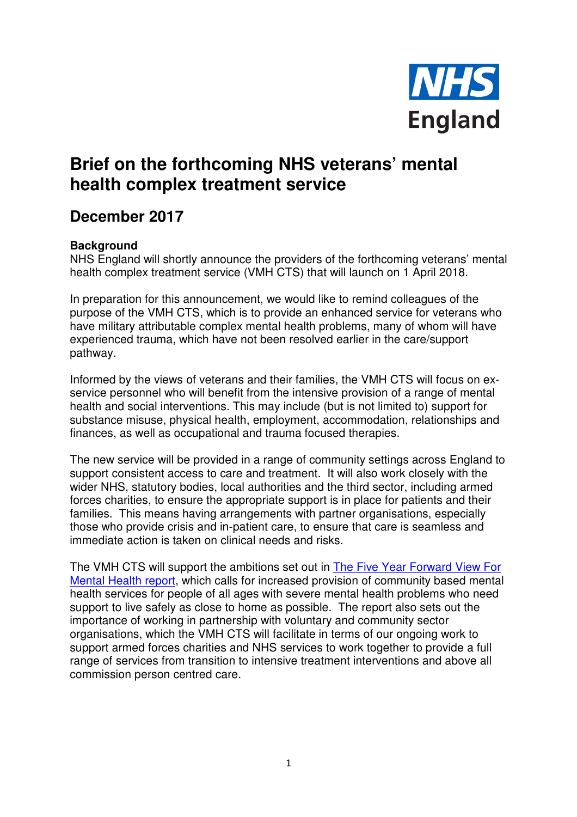

## **Brief on the forthcoming NHS veterans' mental health complex treatment service**

## **December 2017**

## **Background**

NHS England will shortly announce the providers of the forthcoming veterans' mental health complex treatment service (VMH CTS) that will launch on 1 April 2018.

In preparation for this announcement, we would like to remind colleagues of the purpose of the VMH CTS, which is to provide an enhanced service for veterans who have military attributable complex mental health problems, many of whom will have experienced trauma, which have not been resolved earlier in the care/support pathway.

Informed by the views of veterans and their families, the VMH CTS will focus on exservice personnel who will benefit from the intensive provision of a range of mental health and social interventions. This may include (but is not limited to) support for substance misuse, physical health, employment, accommodation, relationships and finances, as well as occupational and trauma focused therapies.

The new service will be provided in a range of community settings across England to support consistent access to care and treatment. It will also work closely with the wider NHS, statutory bodies, local authorities and the third sector, including armed forces charities, to ensure the appropriate support is in place for patients and their families. This means having arrangements with partner organisations, especially those who provide crisis and in-patient care, to ensure that care is seamless and immediate action is taken on clinical needs and risks.

The VMH CTS will support the ambitions set out in The Five Year Forward View For Mental Health report, which calls for increased provision of community based mental health services for people of all ages with severe mental health problems who need support to live safely as close to home as possible. The report also sets out the importance of working in partnership with voluntary and community sector organisations, which the VMH CTS will facilitate in terms of our ongoing work to support armed forces charities and NHS services to work together to provide a full range of services from transition to intensive treatment interventions and above all commission person centred care.